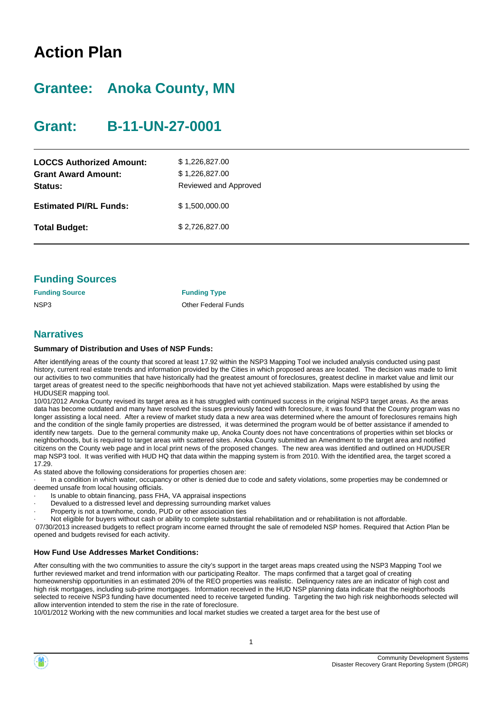# **Action Plan**

# **Grantee: Anoka County, MN**

# **Grant: B-11-UN-27-0001**

| <b>LOCCS Authorized Amount:</b><br><b>Grant Award Amount:</b><br>Status: | \$1,226,827.00<br>\$1,226,827.00<br>Reviewed and Approved |
|--------------------------------------------------------------------------|-----------------------------------------------------------|
| <b>Estimated PI/RL Funds:</b>                                            | \$1,500,000.00                                            |
| <b>Total Budget:</b>                                                     | \$2,726,827.00                                            |

|  | <b>Funding Sources</b> |
|--|------------------------|
|--|------------------------|

| <b>Funding Source</b> | <b>Funding Type</b>        |
|-----------------------|----------------------------|
| NSP3                  | <b>Other Federal Funds</b> |

### **Narratives**

#### **Summary of Distribution and Uses of NSP Funds:**

After identifying areas of the county that scored at least 17.92 within the NSP3 Mapping Tool we included analysis conducted using past history, current real estate trends and information provided by the Cities in which proposed areas are located. The decision was made to limit our activities to two communities that have historically had the greatest amount of foreclosures, greatest decline in market value and limit our target areas of greatest need to the specific neighborhoods that have not yet achieved stabilization. Maps were established by using the HUDUSER mapping tool.

10/01/2012 Anoka County revised its target area as it has struggled with continued success in the original NSP3 target areas. As the areas data has become outdated and many have resolved the issues previously faced with foreclosure, it was found that the County program was no longer assisting a local need. After a review of market study data a new area was determined where the amount of foreclosures remains high and the condition of the single family properties are distressed, it was determined the program would be of better assistance if amended to identify new targets. Due to the gerneral community make up, Anoka County does not have concentrations of properties within set blocks or neighborhoods, but is required to target areas with scattered sites. Anoka County submitted an Amendment to the target area and notified citizens on the County web page and in local print news of the proposed changes. The new area was identified and outlined on HUDUSER map NSP3 tool. It was verified with HUD HQ that data within the mapping system is from 2010. With the identified area, the target scored a 17.29.

As stated above the following considerations for properties chosen are:

· In a condition in which water, occupancy or other is denied due to code and safety violations, some properties may be condemned or deemed unsafe from local housing officials.

- Is unable to obtain financing, pass FHA, VA appraisal inspections
- · Devalued to a distressed level and depressing surrounding market values
- Property is not a townhome, condo, PUD or other association ties

· Not eligible for buyers without cash or ability to complete substantial rehabilitation and or rehabilitation is not affordable.

07/30/2013 increased budgets to reflect program income earned throught the sale of remodeled NSP homes. Required that Action Plan be opened and budgets revised for each activity.

#### **How Fund Use Addresses Market Conditions:**

After consulting with the two communities to assure the city's support in the target areas maps created using the NSP3 Mapping Tool we further reviewed market and trend information with our participating Realtor. The maps confirmed that a target goal of creating homeownership opportunities in an estimated 20% of the REO properties was realistic. Delinquency rates are an indicator of high cost and high risk mortgages, including sub-prime mortgages. Information received in the HUD NSP planning data indicate that the neighborhoods selected to receive NSP3 funding have documented need to receive targeted funding. Targeting the two high risk neighborhoods selected will allow intervention intended to stem the rise in the rate of foreclosure.

10/01/2012 Working with the new communities and local market studies we created a target area for the best use of

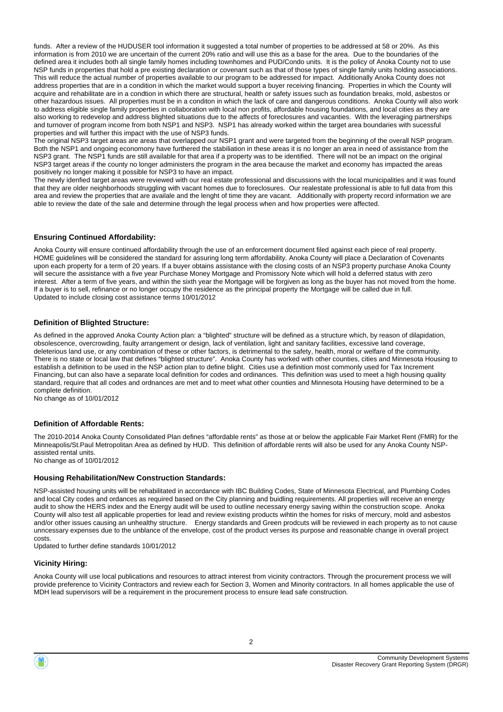funds. After a review of the HUDUSER tool information it suggested a total number of properties to be addressed at 58 or 20%. As this information is from 2010 we are uncertain of the current 20% ratio and will use this as a base for the area. Due to the boundaries of the defined area it includes both all single family homes including townhomes and PUD/Condo units. It is the policy of Anoka County not to use NSP funds in properties that hold a pre existing declaration or covenant such as that of those types of single family units holding associations. This will reduce the actual number of properties available to our program to be addressed for impact. Additionally Anoka County does not address properties that are in a condition in which the market would support a buyer receiving financing. Properties in which the County will acquire and rehabilitate are in a condtion in which there are structural, health or safety issues such as foundation breaks, mold, asbestos or other hazardous issues. All properties must be in a conditon in which the lack of care and dangerous conditions. Anoka County will also work to address eligible single family properties in collaboration with local non profits, affordable housing foundations, and local cities as they are also working to redevelop and address blighted situations due to the affects of foreclosures and vacanties. With the leveraging partnerships and turnover of program income from both NSP1 and NSP3. NSP1 has already worked within the target area boundaries with sucessful properties and will further this impact with the use of NSP3 funds.

The original NSP3 target areas are areas that overlapped our NSP1 grant and were targeted from the beginning of the overall NSP program. Both the NSP1 and ongoing economony have furthered the stabiliation in these areas it is no longer an area in need of assistance from the NSP3 grant. The NSP1 funds are still available for that area if a property was to be identified. There will not be an impact on the original NSP3 target areas if the county no longer administers the program in the area because the market and economy has impacted the areas positively no longer making it possible for NSP3 to have an impact.

The newly idenfied target areas were reviewed with our real estate professional and discussions with the local municipalities and it was found that they are older neighborhoods struggling with vacant homes due to foreclosures. Our realestate professional is able to full data from this area and review the properties that are availale and the lenght of time they are vacant. Additionally with property record information we are able to review the date of the sale and determine through the legal process when and how properties were affected.

#### **Ensuring Continued Affordability:**

Anoka County will ensure continued affordability through the use of an enforcement document filed against each piece of real property. HOME guidelines will be considered the standard for assuring long term affordability. Anoka County will place a Declaration of Covenants upon each property for a term of 20 years. If a buyer obtains assistance with the closing costs of an NSP3 property purchase Anoka County will secure the assistance with a five year Purchase Money Mortgage and Promissory Note which will hold a deferred status with zero interest. After a term of five years, and within the sixth year the Mortgage will be forgiven as long as the buyer has not moved from the home. If a buyer is to sell, refinance or no longer occupy the residence as the principal property the Mortgage will be called due in full. Updated to include closing cost assistance terms 10/01/2012

#### **Definition of Blighted Structure:**

As defined in the approved Anoka County Action plan: a "blighted" structure will be defined as a structure which, by reason of dilapidation, obsolescence, overcrowding, faulty arrangement or design, lack of ventilation, light and sanitary facilities, excessive land coverage, deleterious land use, or any combination of these or other factors, is detrimental to the safety, health, moral or welfare of the community. There is no state or local law that defines "blighted structure". Anoka County has worked with other counties, cities and Minnesota Housing to establish a definition to be used in the NSP action plan to define blight. Cities use a definition most commonly used for Tax Increment Financing, but can also have a separate local definition for codes and ordinances. This definition was used to meet a high housing quality standard, require that all codes and ordnances are met and to meet what other counties and Minnesota Housing have determined to be a complete definition.

No change as of 10/01/2012

#### **Definition of Affordable Rents:**

The 2010-2014 Anoka County Consolidated Plan defines "affordable rents" as those at or below the applicable Fair Market Rent (FMR) for the Minneapolis/St.Paul Metropolitan Area as defined by HUD. This definition of affordable rents will also be used for any Anoka County NSPassisted rental units. No change as of 10/01/2012

### **Housing Rehabilitation/New Construction Standards:**

NSP-assisted housing units will be rehabilitated in accordance with IBC Building Codes, State of Minnesota Electrical, and Plumbing Codes and local City codes and ordances as required based on the City planning and buidling requirements. All properties will receive an energy audit to show the HERS index and the Energy audit will be used to outline necessary energy saving within the construction scope. Anoka County will also test all applicable properties for lead and review existing products wihtin the homes for risks of mercury, mold and asbestos and/or other issues causing an unhealthy structure. Energy standards and Green prodcuts will be reviewed in each property as to not cause unncessary expenses due to the unblance of the envelope, cost of the product verses its purpose and reasonable change in overall project costs.

Updated to further define standards 10/01/2012

#### **Vicinity Hiring:**

Anoka County will use local publications and resources to attract interest from vicinity contractors. Through the procurement process we will provide preference to Vicinity Contractors and review each for Section 3, Women and Minority contractors. In all homes applicable the use of MDH lead supervisors will be a requirement in the procurement process to ensure lead safe construction.

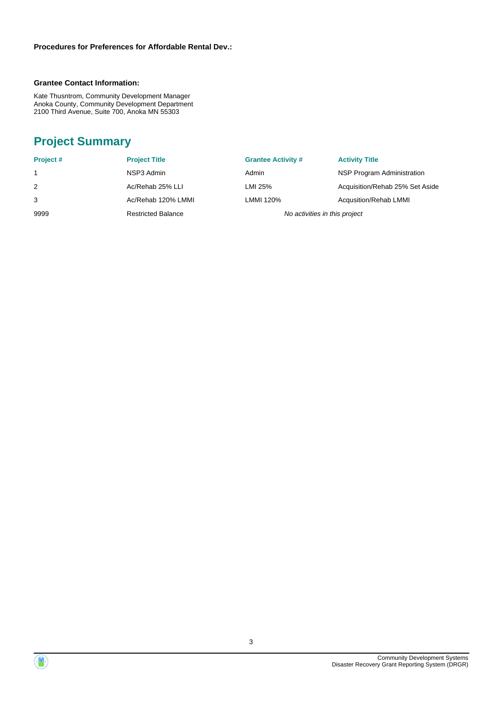#### **Grantee Contact Information:**

Kate Thusntrom, Community Development Manager Anoka County, Community Development Department 2100 Third Avenue, Suite 700, Anoka MN 55303

# **Project Summary**

| Project # | <b>Project Title</b>      | <b>Grantee Activity #</b>     | <b>Activity Title</b>           |
|-----------|---------------------------|-------------------------------|---------------------------------|
|           | NSP3 Admin                | Admin                         | NSP Program Administration      |
| 2         | Ac/Rehab 25% LLI          | LMI 25%                       | Acquisition/Rehab 25% Set Aside |
|           | Ac/Rehab 120% LMMI        | LMMI 120%                     | Acqusition/Rehab LMMI           |
| 9999      | <b>Restricted Balance</b> | No activities in this project |                                 |

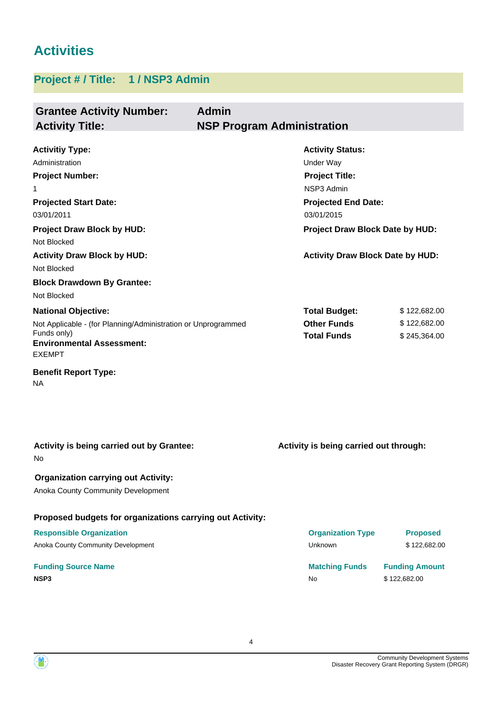# **Activities**

## **Project # / Title: 1 / NSP3 Admin**

| <b>Grantee Activity Number:</b><br><b>Activity Title:</b>                                                                                                                                                                                 | <b>Admin</b><br><b>NSP Program Administration</b> |                                                                                                                                                                                                       |                                              |
|-------------------------------------------------------------------------------------------------------------------------------------------------------------------------------------------------------------------------------------------|---------------------------------------------------|-------------------------------------------------------------------------------------------------------------------------------------------------------------------------------------------------------|----------------------------------------------|
| <b>Activitiy Type:</b><br>Administration<br><b>Project Number:</b><br>$\mathbf{1}$<br><b>Projected Start Date:</b><br>03/01/2011<br><b>Project Draw Block by HUD:</b><br>Not Blocked<br><b>Activity Draw Block by HUD:</b><br>Not Blocked |                                                   | <b>Activity Status:</b><br>Under Way<br><b>Project Title:</b><br>NSP3 Admin<br><b>Projected End Date:</b><br>03/01/2015<br>Project Draw Block Date by HUD:<br><b>Activity Draw Block Date by HUD:</b> |                                              |
| <b>Block Drawdown By Grantee:</b><br>Not Blocked<br><b>National Objective:</b><br>Not Applicable - (for Planning/Administration or Unprogrammed<br>Funds only)                                                                            |                                                   | <b>Total Budget:</b><br><b>Other Funds</b><br><b>Total Funds</b>                                                                                                                                      | \$122,682.00<br>\$122,682.00<br>\$245,364.00 |
| <b>Environmental Assessment:</b><br><b>EXEMPT</b><br><b>Benefit Report Type:</b><br><b>NA</b>                                                                                                                                             |                                                   |                                                                                                                                                                                                       |                                              |
| Activity is being carried out by Grantee:                                                                                                                                                                                                 |                                                   | Activity is being carried out through:                                                                                                                                                                |                                              |
| No<br><b>Organization carrying out Activity:</b><br>Anoka County Community Development                                                                                                                                                    |                                                   |                                                                                                                                                                                                       |                                              |
| Proposed budgets for organizations carrying out Activity:                                                                                                                                                                                 |                                                   |                                                                                                                                                                                                       |                                              |

## **Responsible Organization**

Anoka County Community Development

### **Funding Source Name NSP3** No \$122,682.00

| <b>Organization Type</b> | <b>Proposed</b>       |
|--------------------------|-----------------------|
| Unknown                  | \$122,682,00          |
| <b>Matching Funds</b>    | <b>Funding Amount</b> |

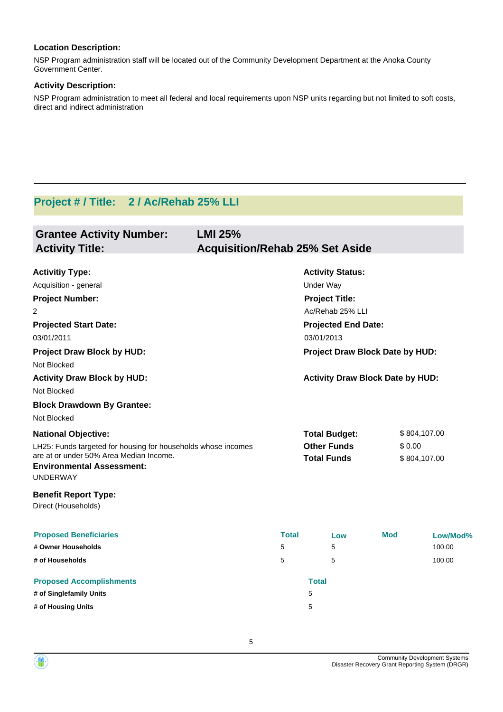### **Location Description:**

NSP Program administration staff will be located out of the Community Development Department at the Anoka County Government Center.

#### **Activity Description:**

NSP Program administration to meet all federal and local requirements upon NSP units regarding but not limited to soft costs, direct and indirect administration

# **Project # / Title: 2 / Ac/Rehab 25% LLI**

| <b>Grantee Activity Number:</b><br><b>Activity Title:</b>                                      | <b>LMI 25%</b><br><b>Acquisition/Rehab 25% Set Aside</b> |                                 |                                         |              |              |
|------------------------------------------------------------------------------------------------|----------------------------------------------------------|---------------------------------|-----------------------------------------|--------------|--------------|
| <b>Activitiy Type:</b>                                                                         |                                                          |                                 | <b>Activity Status:</b>                 |              |              |
| Acquisition - general                                                                          |                                                          |                                 | <b>Under Way</b>                        |              |              |
| <b>Project Number:</b>                                                                         |                                                          |                                 | <b>Project Title:</b>                   |              |              |
| 2                                                                                              |                                                          |                                 | Ac/Rehab 25% LLI                        |              |              |
| <b>Projected Start Date:</b>                                                                   |                                                          |                                 | <b>Projected End Date:</b>              |              |              |
| 03/01/2011                                                                                     |                                                          |                                 | 03/01/2013                              |              |              |
| <b>Project Draw Block by HUD:</b><br>Not Blocked                                               |                                                          | Project Draw Block Date by HUD: |                                         |              |              |
| <b>Activity Draw Block by HUD:</b><br>Not Blocked                                              |                                                          |                                 | <b>Activity Draw Block Date by HUD:</b> |              |              |
| <b>Block Drawdown By Grantee:</b>                                                              |                                                          |                                 |                                         |              |              |
| Not Blocked                                                                                    |                                                          |                                 |                                         |              |              |
| <b>National Objective:</b>                                                                     |                                                          |                                 | <b>Total Budget:</b>                    |              | \$804,107.00 |
| LH25: Funds targeted for housing for households whose incomes                                  |                                                          | <b>Other Funds</b>              | \$0.00                                  |              |              |
| are at or under 50% Area Median Income.<br><b>Environmental Assessment:</b><br><b>UNDERWAY</b> |                                                          | <b>Total Funds</b>              |                                         | \$804,107.00 |              |
| <b>Benefit Report Type:</b><br>Direct (Households)                                             |                                                          |                                 |                                         |              |              |
| <b>Proposed Beneficiaries</b>                                                                  |                                                          | <b>Total</b>                    | Low                                     | <b>Mod</b>   | Low/Mod%     |
| # Owner Households                                                                             | 5                                                        |                                 | 5                                       |              | 100.00       |
| # of Households                                                                                | 5                                                        |                                 | 5                                       |              | 100.00       |
| <b>Proposed Accomplishments</b>                                                                |                                                          |                                 | <b>Total</b>                            |              |              |
| # of Singlefamily Units                                                                        |                                                          |                                 | 5                                       |              |              |
| # of Housing Units                                                                             |                                                          |                                 | 5                                       |              |              |

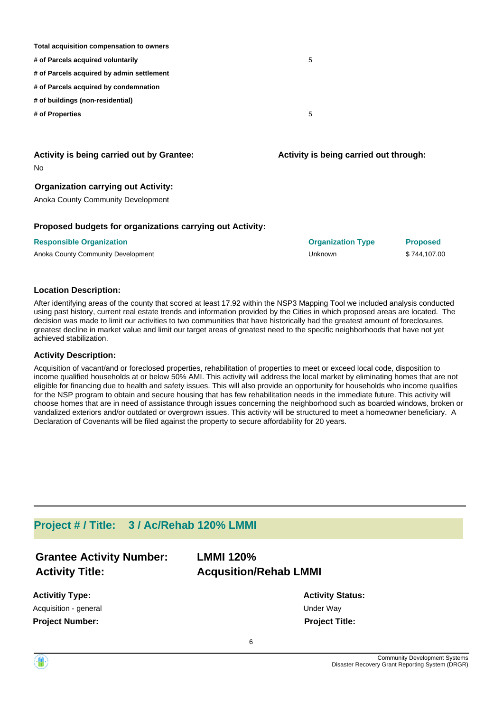| Total acquisition compensation to owners  |   |
|-------------------------------------------|---|
| # of Parcels acquired voluntarily         | 5 |
| # of Parcels acquired by admin settlement |   |
| # of Parcels acquired by condemnation     |   |
| # of buildings (non-residential)          |   |
| # of Properties                           | 5 |
|                                           |   |
|                                           |   |

#### No **Activity is being carried out by Grantee:**

#### **Organization carrying out Activity:**

Anoka County Community Development

#### **Proposed budgets for organizations carrying out Activity:**

| <b>Responsible Organization</b>    | <b>Organization Type</b> | Proposed     |
|------------------------------------|--------------------------|--------------|
| Anoka County Community Development | Unknown                  | \$744,107.00 |

#### **Location Description:**

After identifying areas of the county that scored at least 17.92 within the NSP3 Mapping Tool we included analysis conducted using past history, current real estate trends and information provided by the Cities in which proposed areas are located. The decision was made to limit our activities to two communities that have historically had the greatest amount of foreclosures, greatest decline in market value and limit our target areas of greatest need to the specific neighborhoods that have not yet achieved stabilization.

#### **Activity Description:**

Acquisition of vacant/and or foreclosed properties, rehabilitation of properties to meet or exceed local code, disposition to income qualified households at or below 50% AMI. This activity will address the local market by eliminating homes that are not eligible for financing due to health and safety issues. This will also provide an opportunity for households who income qualifies for the NSP program to obtain and secure housing that has few rehabilitation needs in the immediate future. This activity will choose homes that are in need of assistance through issues concerning the neighborhood such as boarded windows, broken or vandalized exteriors and/or outdated or overgrown issues. This activity will be structured to meet a homeowner beneficiary. A Declaration of Covenants will be filed against the property to secure affordability for 20 years.

## **Project # / Title: 3 / Ac/Rehab 120% LMMI**

| <b>Grantee Activity Number:</b> | <b>LMMI 120%</b>             |
|---------------------------------|------------------------------|
| <b>Activity Title:</b>          | <b>Acqusition/Rehab LMMI</b> |
| <b>Activitiy Type:</b>          | <b>Activit</b>               |

**y Status:** Acquisition - general and the contract of the Under Way **Project Number: Project Title:**

**Activity is being carried out through:**

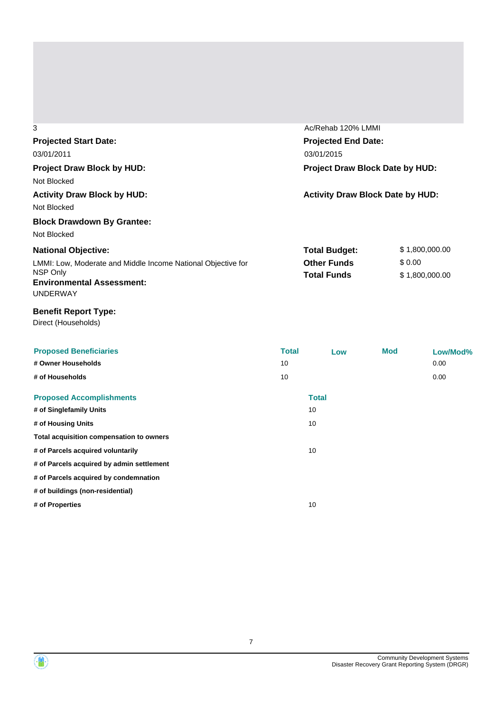| 3                                                            | Ac/Rehab 120% LMMI                      |                |  |  |
|--------------------------------------------------------------|-----------------------------------------|----------------|--|--|
| <b>Projected Start Date:</b>                                 | <b>Projected End Date:</b>              |                |  |  |
| 03/01/2011                                                   | 03/01/2015                              |                |  |  |
| <b>Project Draw Block by HUD:</b>                            | Project Draw Block Date by HUD:         |                |  |  |
| Not Blocked                                                  |                                         |                |  |  |
| <b>Activity Draw Block by HUD:</b>                           | <b>Activity Draw Block Date by HUD:</b> |                |  |  |
| Not Blocked                                                  |                                         |                |  |  |
| <b>Block Drawdown By Grantee:</b>                            |                                         |                |  |  |
| Not Blocked                                                  |                                         |                |  |  |
| <b>National Objective:</b>                                   | <b>Total Budget:</b>                    | \$1,800,000.00 |  |  |
| LMMI: Low, Moderate and Middle Income National Objective for | <b>Other Funds</b>                      | \$0.00         |  |  |
| NSP Only                                                     | <b>Total Funds</b>                      | \$1,800,000.00 |  |  |
| <b>Environmental Assessment:</b>                             |                                         |                |  |  |
| <b>UNDERWAY</b>                                              |                                         |                |  |  |

## **Benefit Report Type:**

Direct (Households)

| <b>Proposed Beneficiaries</b>             | <b>Total</b> | Low          | Mod | Low/Mod% |
|-------------------------------------------|--------------|--------------|-----|----------|
| # Owner Households                        | 10           |              |     | 0.00     |
| # of Households                           | 10           |              |     | 0.00     |
| <b>Proposed Accomplishments</b>           |              | <b>Total</b> |     |          |
| # of Singlefamily Units                   |              | 10           |     |          |
| # of Housing Units                        |              | 10           |     |          |
| Total acquisition compensation to owners  |              |              |     |          |
| # of Parcels acquired voluntarily         |              | 10           |     |          |
| # of Parcels acquired by admin settlement |              |              |     |          |
| # of Parcels acquired by condemnation     |              |              |     |          |
| # of buildings (non-residential)          |              |              |     |          |
| # of Properties                           |              | 10           |     |          |
|                                           |              |              |     |          |



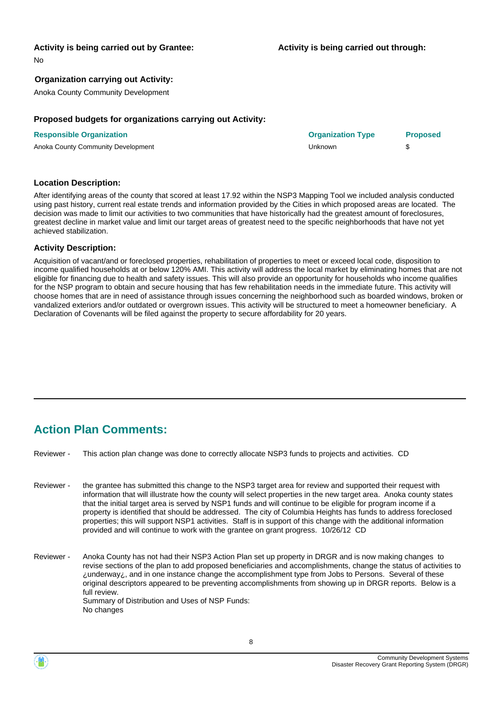#### **Activity is being carried out by Grantee:**

No

#### **Organization carrying out Activity:**

Anoka County Community Development

#### **Proposed budgets for organizations carrying out Activity:**

| <b>Responsible Organization</b>    | <b>Organization Type</b> | <b>Proposed</b> |
|------------------------------------|--------------------------|-----------------|
| Anoka County Community Development | Unknown                  |                 |

#### **Location Description:**

After identifying areas of the county that scored at least 17.92 within the NSP3 Mapping Tool we included analysis conducted using past history, current real estate trends and information provided by the Cities in which proposed areas are located. The decision was made to limit our activities to two communities that have historically had the greatest amount of foreclosures, greatest decline in market value and limit our target areas of greatest need to the specific neighborhoods that have not yet achieved stabilization.

#### **Activity Description:**

Acquisition of vacant/and or foreclosed properties, rehabilitation of properties to meet or exceed local code, disposition to income qualified households at or below 120% AMI. This activity will address the local market by eliminating homes that are not eligible for financing due to health and safety issues. This will also provide an opportunity for households who income qualifies for the NSP program to obtain and secure housing that has few rehabilitation needs in the immediate future. This activity will choose homes that are in need of assistance through issues concerning the neighborhood such as boarded windows, broken or vandalized exteriors and/or outdated or overgrown issues. This activity will be structured to meet a homeowner beneficiary. A Declaration of Covenants will be filed against the property to secure affordability for 20 years.

## **Action Plan Comments:**

Reviewer - This action plan change was done to correctly allocate NSP3 funds to projects and activities. CD

- the grantee has submitted this change to the NSP3 target area for review and supported their request with information that will illustrate how the county will select properties in the new target area. Anoka county states that the initial target area is served by NSP1 funds and will continue to be eligible for program income if a property is identified that should be addressed. The city of Columbia Heights has funds to address foreclosed properties; this will support NSP1 activities. Staff is in support of this change with the additional information provided and will continue to work with the grantee on grant progress. 10/26/12 CD Reviewer -
- Anoka County has not had their NSP3 Action Plan set up property in DRGR and is now making changes to revise sections of the plan to add proposed beneficiaries and accomplishments, change the status of activities to ¿underway¿, and in one instance change the accomplishment type from Jobs to Persons. Several of these original descriptors appeared to be preventing accomplishments from showing up in DRGR reports. Below is a full review. Summary of Distribution and Uses of NSP Funds: No changes Reviewer -